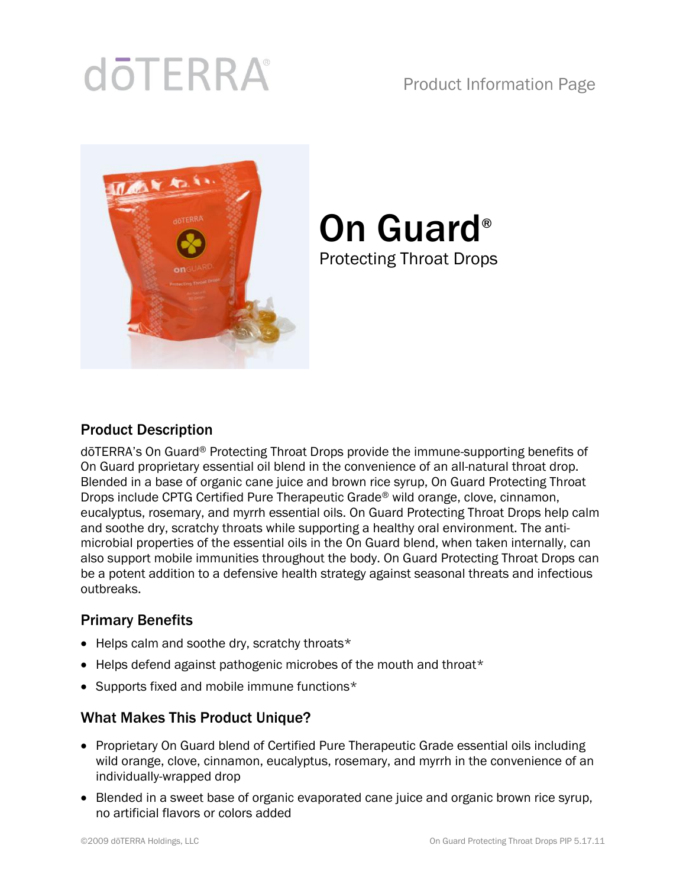# **doTERRA**

### Product Information Page



# On Guard® Protecting Throat Drops

#### Product Description

dōTERRA's On Guard® Protecting Throat Drops provide the immune-supporting benefits of On Guard proprietary essential oil blend in the convenience of an all-natural throat drop. Blended in a base of organic cane juice and brown rice syrup, On Guard Protecting Throat Drops include CPTG Certified Pure Therapeutic Grade® wild orange, clove, cinnamon, eucalyptus, rosemary, and myrrh essential oils. On Guard Protecting Throat Drops help calm and soothe dry, scratchy throats while supporting a healthy oral environment. The antimicrobial properties of the essential oils in the On Guard blend, when taken internally, can also support mobile immunities throughout the body. On Guard Protecting Throat Drops can be a potent addition to a defensive health strategy against seasonal threats and infectious outbreaks.

#### Primary Benefits

- Helps calm and soothe dry, scratchy throats\*
- Helps defend against pathogenic microbes of the mouth and throat\*
- Supports fixed and mobile immune functions\*

#### What Makes This Product Unique?

- Proprietary On Guard blend of Certified Pure Therapeutic Grade essential oils including wild orange, clove, cinnamon, eucalyptus, rosemary, and myrrh in the convenience of an individually-wrapped drop
- Blended in a sweet base of organic evaporated cane juice and organic brown rice syrup, no artificial flavors or colors added